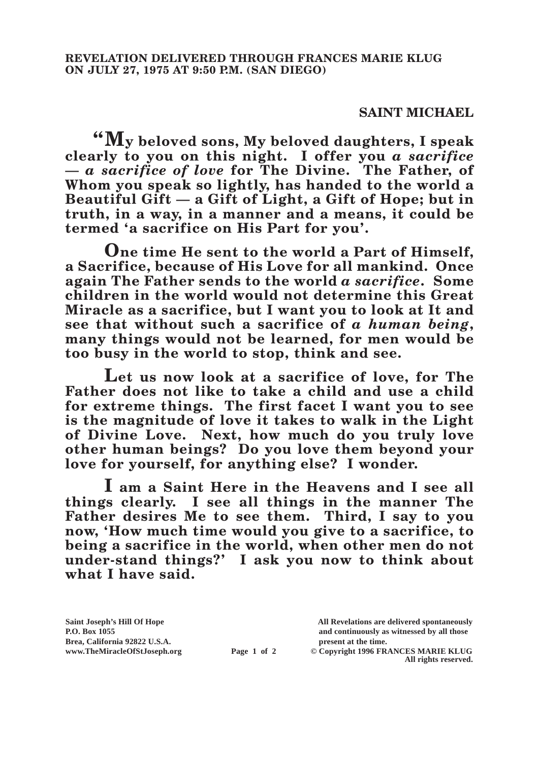## **SAINT MICHAEL**

**"My beloved sons, My beloved daughters, I speak clearly to you on this night. I offer you** *a sacrifice* **—** *a sacrifice of love* **for The Divine. The Father, of Whom you speak so lightly, has handed to the world a Beautiful Gift — a Gift of Light, a Gift of Hope; but in truth, in a way, in a manner and a means, it could be termed 'a sacrifice on His Part for you'.**

**One time He sent to the world a Part of Himself, a Sacrifice, because of His Love for all mankind. Once again The Father sends to the world** *a sacrifice***. Some children in the world would not determine this Great Miracle as a sacrifice, but I want you to look at It and see that without such a sacrifice of** *a human being***, many things would not be learned, for men would be too busy in the world to stop, think and see.**

**Let us now look at a sacrifice of love, for The Father does not like to take a child and use a child for extreme things. The first facet I want you to see is the magnitude of love it takes to walk in the Light of Divine Love. Next, how much do you truly love other human beings? Do you love them beyond your love for yourself, for anything else? I wonder.**

**I am a Saint Here in the Heavens and I see all things clearly. I see all things in the manner The Father desires Me to see them. Third, I say to you now, 'How much time would you give to a sacrifice, to being a sacrifice in the world, when other men do not under-stand things?' I ask you now to think about what I have said.**

**P.O. Box 1055 and continuously as witnessed by all those** 

**Page 1 of 2** © Copyright 1996 FRANCES MARIE KLUG **All rights reserved.**